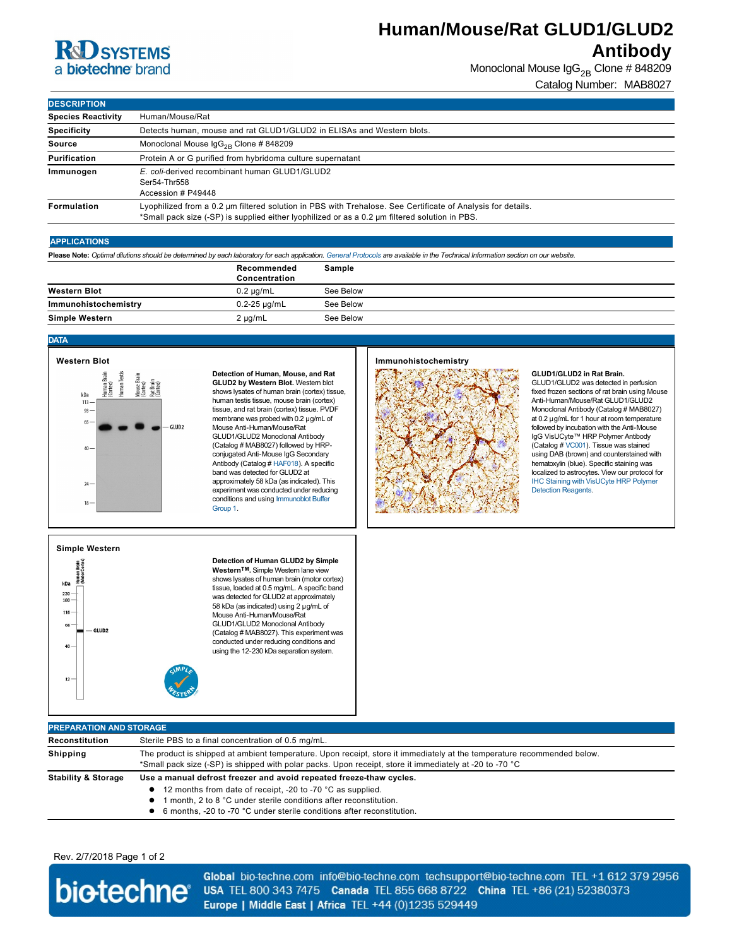# **Antibody**

|                                                                                                                         |                                                                                                                                                                                                                                    |                                                                                                                                                                                                                                                                                                                                                                                                                                                                                                                                                                                                                                                 |           | <b>Human/Mouse/Rat GLUD1/GLUD2</b>                                                                                                                                                |                                                                                                                                                                                                                                                                                                                                                                                                                                                                                                                                                                                                     |  |
|-------------------------------------------------------------------------------------------------------------------------|------------------------------------------------------------------------------------------------------------------------------------------------------------------------------------------------------------------------------------|-------------------------------------------------------------------------------------------------------------------------------------------------------------------------------------------------------------------------------------------------------------------------------------------------------------------------------------------------------------------------------------------------------------------------------------------------------------------------------------------------------------------------------------------------------------------------------------------------------------------------------------------------|-----------|-----------------------------------------------------------------------------------------------------------------------------------------------------------------------------------|-----------------------------------------------------------------------------------------------------------------------------------------------------------------------------------------------------------------------------------------------------------------------------------------------------------------------------------------------------------------------------------------------------------------------------------------------------------------------------------------------------------------------------------------------------------------------------------------------------|--|
| <b>K&amp;U</b> SYSTEMS                                                                                                  |                                                                                                                                                                                                                                    |                                                                                                                                                                                                                                                                                                                                                                                                                                                                                                                                                                                                                                                 |           |                                                                                                                                                                                   | <b>Antibody</b>                                                                                                                                                                                                                                                                                                                                                                                                                                                                                                                                                                                     |  |
| a biotechne brand                                                                                                       |                                                                                                                                                                                                                                    |                                                                                                                                                                                                                                                                                                                                                                                                                                                                                                                                                                                                                                                 |           |                                                                                                                                                                                   | Monoclonal Mouse IgG <sub>2B</sub> Clone # 848209                                                                                                                                                                                                                                                                                                                                                                                                                                                                                                                                                   |  |
|                                                                                                                         |                                                                                                                                                                                                                                    |                                                                                                                                                                                                                                                                                                                                                                                                                                                                                                                                                                                                                                                 |           |                                                                                                                                                                                   | Catalog Number: MAB8027                                                                                                                                                                                                                                                                                                                                                                                                                                                                                                                                                                             |  |
| <b>DESCRIPTION</b>                                                                                                      |                                                                                                                                                                                                                                    |                                                                                                                                                                                                                                                                                                                                                                                                                                                                                                                                                                                                                                                 |           |                                                                                                                                                                                   |                                                                                                                                                                                                                                                                                                                                                                                                                                                                                                                                                                                                     |  |
| <b>Species Reactivity</b>                                                                                               | Human/Mouse/Rat                                                                                                                                                                                                                    |                                                                                                                                                                                                                                                                                                                                                                                                                                                                                                                                                                                                                                                 |           |                                                                                                                                                                                   |                                                                                                                                                                                                                                                                                                                                                                                                                                                                                                                                                                                                     |  |
| Specificity                                                                                                             |                                                                                                                                                                                                                                    |                                                                                                                                                                                                                                                                                                                                                                                                                                                                                                                                                                                                                                                 |           |                                                                                                                                                                                   |                                                                                                                                                                                                                                                                                                                                                                                                                                                                                                                                                                                                     |  |
| Source                                                                                                                  | Detects human, mouse and rat GLUD1/GLUD2 in ELISAs and Western blots.<br>Monoclonal Mouse $\lg G_{2B}$ Clone # 848209                                                                                                              |                                                                                                                                                                                                                                                                                                                                                                                                                                                                                                                                                                                                                                                 |           |                                                                                                                                                                                   |                                                                                                                                                                                                                                                                                                                                                                                                                                                                                                                                                                                                     |  |
| <b>Purification</b>                                                                                                     | Protein A or G purified from hybridoma culture supernatant                                                                                                                                                                         |                                                                                                                                                                                                                                                                                                                                                                                                                                                                                                                                                                                                                                                 |           |                                                                                                                                                                                   |                                                                                                                                                                                                                                                                                                                                                                                                                                                                                                                                                                                                     |  |
| Immunogen                                                                                                               | E. coli-derived recombinant human GLUD1/GLUD2                                                                                                                                                                                      |                                                                                                                                                                                                                                                                                                                                                                                                                                                                                                                                                                                                                                                 |           |                                                                                                                                                                                   |                                                                                                                                                                                                                                                                                                                                                                                                                                                                                                                                                                                                     |  |
|                                                                                                                         | Ser54-Thr558<br>Accession # P49448                                                                                                                                                                                                 |                                                                                                                                                                                                                                                                                                                                                                                                                                                                                                                                                                                                                                                 |           |                                                                                                                                                                                   |                                                                                                                                                                                                                                                                                                                                                                                                                                                                                                                                                                                                     |  |
| Formulation                                                                                                             | Lyophilized from a 0.2 µm filtered solution in PBS with Trehalose. See Certificate of Analysis for details.<br>*Small pack size (-SP) is supplied either lyophilized or as a 0.2 µm filtered solution in PBS.                      |                                                                                                                                                                                                                                                                                                                                                                                                                                                                                                                                                                                                                                                 |           |                                                                                                                                                                                   |                                                                                                                                                                                                                                                                                                                                                                                                                                                                                                                                                                                                     |  |
| <b>APPLICATIONS</b>                                                                                                     |                                                                                                                                                                                                                                    |                                                                                                                                                                                                                                                                                                                                                                                                                                                                                                                                                                                                                                                 |           |                                                                                                                                                                                   |                                                                                                                                                                                                                                                                                                                                                                                                                                                                                                                                                                                                     |  |
|                                                                                                                         |                                                                                                                                                                                                                                    |                                                                                                                                                                                                                                                                                                                                                                                                                                                                                                                                                                                                                                                 |           | Please Note: Optimal dilutions should be determined by each laboratory for each application. General Protocols are available in the Technical Information section on our website. |                                                                                                                                                                                                                                                                                                                                                                                                                                                                                                                                                                                                     |  |
|                                                                                                                         |                                                                                                                                                                                                                                    | Recommended                                                                                                                                                                                                                                                                                                                                                                                                                                                                                                                                                                                                                                     | Sample    |                                                                                                                                                                                   |                                                                                                                                                                                                                                                                                                                                                                                                                                                                                                                                                                                                     |  |
|                                                                                                                         |                                                                                                                                                                                                                                    | Concentration                                                                                                                                                                                                                                                                                                                                                                                                                                                                                                                                                                                                                                   |           |                                                                                                                                                                                   |                                                                                                                                                                                                                                                                                                                                                                                                                                                                                                                                                                                                     |  |
| <b>Western Blot</b>                                                                                                     |                                                                                                                                                                                                                                    | $0.2 \mu g/mL$                                                                                                                                                                                                                                                                                                                                                                                                                                                                                                                                                                                                                                  | See Below |                                                                                                                                                                                   |                                                                                                                                                                                                                                                                                                                                                                                                                                                                                                                                                                                                     |  |
| Immunohistochemistry                                                                                                    |                                                                                                                                                                                                                                    | $0.2 - 25$ µg/mL                                                                                                                                                                                                                                                                                                                                                                                                                                                                                                                                                                                                                                | See Below |                                                                                                                                                                                   |                                                                                                                                                                                                                                                                                                                                                                                                                                                                                                                                                                                                     |  |
| Simple Western                                                                                                          |                                                                                                                                                                                                                                    | $2 \mu g/mL$                                                                                                                                                                                                                                                                                                                                                                                                                                                                                                                                                                                                                                    | See Below |                                                                                                                                                                                   |                                                                                                                                                                                                                                                                                                                                                                                                                                                                                                                                                                                                     |  |
| <b>DATA</b>                                                                                                             |                                                                                                                                                                                                                                    |                                                                                                                                                                                                                                                                                                                                                                                                                                                                                                                                                                                                                                                 |           |                                                                                                                                                                                   |                                                                                                                                                                                                                                                                                                                                                                                                                                                                                                                                                                                                     |  |
| <b>Western Blot</b>                                                                                                     |                                                                                                                                                                                                                                    |                                                                                                                                                                                                                                                                                                                                                                                                                                                                                                                                                                                                                                                 |           | Immunohistochemistry                                                                                                                                                              |                                                                                                                                                                                                                                                                                                                                                                                                                                                                                                                                                                                                     |  |
| Human Brain<br>(Cortex)<br>Human Testi<br>kDa<br>113<br>$93 -$<br>65<br>$40 -$<br>24<br>$18 -$<br><b>Simple Western</b> | Mouse Brai<br>(Cortex)<br>Rat Brain<br>(Cortex)<br>GLUD2                                                                                                                                                                           | Detection of Human, Mouse, and Rat<br>GLUD2 by Western Blot. Western blot<br>shows lysates of human brain (cortex) tissue,<br>human testis tissue, mouse brain (cortex)<br>tissue, and rat brain (cortex) tissue. PVDF<br>membrane was probed with $0.2 \mu$ g/mL of<br>Mouse Anti-Human/Mouse/Rat<br>GLUD1/GLUD2 Monoclonal Antibody<br>(Catalog # MAB8027) followed by HRP-<br>conjugated Anti-Mouse IgG Secondary<br>Antibody (Catalog # HAF018). A specific<br>band was detected for GLUD2 at<br>approximately 58 kDa (as indicated). This<br>experiment was conducted under reducing<br>conditions and using Immunoblot Buffer<br>Group 1. |           |                                                                                                                                                                                   | GLUD1/GLUD2 in Rat Brain.<br>GLUD1/GLUD2 was detected in perfusion<br>fixed frozen sections of rat brain using Mouse<br>Anti-Human/Mouse/Rat GLUD1/GLUD2<br>Monoclonal Antibody (Catalog # MAB8027)<br>at 0.2 µg/mL for 1 hour at room temperature<br>followed by incubation with the Anti-Mouse<br>IgG VisUCyte™ HRP Polymer Antibody<br>(Catalog # VC001). Tissue was stained<br>using DAB (brown) and counterstained with<br>hematoxylin (blue). Specific staining was<br>localized to astrocytes. View our protocol for<br>IHC Staining with VisUCyte HRP Polymer<br><b>Detection Reagents.</b> |  |
| n Brain<br>Cortex<br>kDa<br>230<br>180<br>$116 -$<br>66<br>GLUD2<br>$40 -$<br>$12 -$                                    |                                                                                                                                                                                                                                    | Detection of Human GLUD2 by Simple<br>Western™. Simple Western lane view<br>shows lysates of human brain (motor cortex)<br>tissue, loaded at 0.5 mg/mL. A specific band<br>was detected for GLUD2 at approximately<br>58 kDa (as indicated) using 2 µg/mL of<br>Mouse Anti-Human/Mouse/Rat<br>GLUD1/GLUD2 Monoclonal Antibody<br>(Catalog # MAB8027). This experiment was<br>conducted under reducing conditions and<br>using the 12-230 kDa separation system.                                                                                                                                                                                 |           |                                                                                                                                                                                   |                                                                                                                                                                                                                                                                                                                                                                                                                                                                                                                                                                                                     |  |
| <b>PREPARATION AND STORAGE</b>                                                                                          |                                                                                                                                                                                                                                    |                                                                                                                                                                                                                                                                                                                                                                                                                                                                                                                                                                                                                                                 |           |                                                                                                                                                                                   |                                                                                                                                                                                                                                                                                                                                                                                                                                                                                                                                                                                                     |  |
| Reconstitution                                                                                                          |                                                                                                                                                                                                                                    | Sterile PBS to a final concentration of 0.5 mg/mL.                                                                                                                                                                                                                                                                                                                                                                                                                                                                                                                                                                                              |           |                                                                                                                                                                                   |                                                                                                                                                                                                                                                                                                                                                                                                                                                                                                                                                                                                     |  |
| Shipping                                                                                                                | The product is shipped at ambient temperature. Upon receipt, store it immediately at the temperature recommended below.<br>*Small pack size (-SP) is shipped with polar packs. Upon receipt, store it immediately at -20 to -70 °C |                                                                                                                                                                                                                                                                                                                                                                                                                                                                                                                                                                                                                                                 |           |                                                                                                                                                                                   |                                                                                                                                                                                                                                                                                                                                                                                                                                                                                                                                                                                                     |  |
| <b>Stability &amp; Storage</b>                                                                                          | ٠                                                                                                                                                                                                                                  | Use a manual defrost freezer and avoid repeated freeze-thaw cycles.<br>12 months from date of receipt, -20 to -70 °C as supplied.<br>1 month, 2 to 8 °C under sterile conditions after reconstitution.<br>• 6 months, -20 to -70 °C under sterile conditions after reconstitution.                                                                                                                                                                                                                                                                                                                                                              |           |                                                                                                                                                                                   |                                                                                                                                                                                                                                                                                                                                                                                                                                                                                                                                                                                                     |  |

#### **APPLICATIONS**

|                      | Recommended<br>Concentration | Sample    |
|----------------------|------------------------------|-----------|
| <b>Western Blot</b>  | $0.2 \mu q/mL$               | See Below |
| Immunohistochemistry | $0.2 - 25 \mu q/mL$          | See Below |
| Simple Western       | $2 \mu g/mL$                 | See Below |

#### **DATA**



#### **Immunohistochemistry**



#### **Simple Western**



#### **PREPARATION AND STORAGE Reconstitution** Sterile PBS to a final concentration of 0.5 mg/mL. **Shipping** The product is shipped at ambient temperature. Upon receipt, store it immediately at the temperature recommended below.  $^*$ Small pack size (-SP) is shipped with polar packs. Upon receipt, store it immediately at -20 to -70  $^{\circ}{\rm C}$ **Stability & Storage Use a manual defrost freezer and avoid repeated freezethaw cycles.**

#### Rev. 2/7/2018 Page 1 of 2



Global bio-techne.com info@bio-techne.com techsupport@bio-techne.com TEL +1 612 379 2956 USA TEL 800 343 7475 Canada TEL 855 668 8722 China TEL +86 (21) 52380373 Europe | Middle East | Africa TEL +44 (0)1235 529449